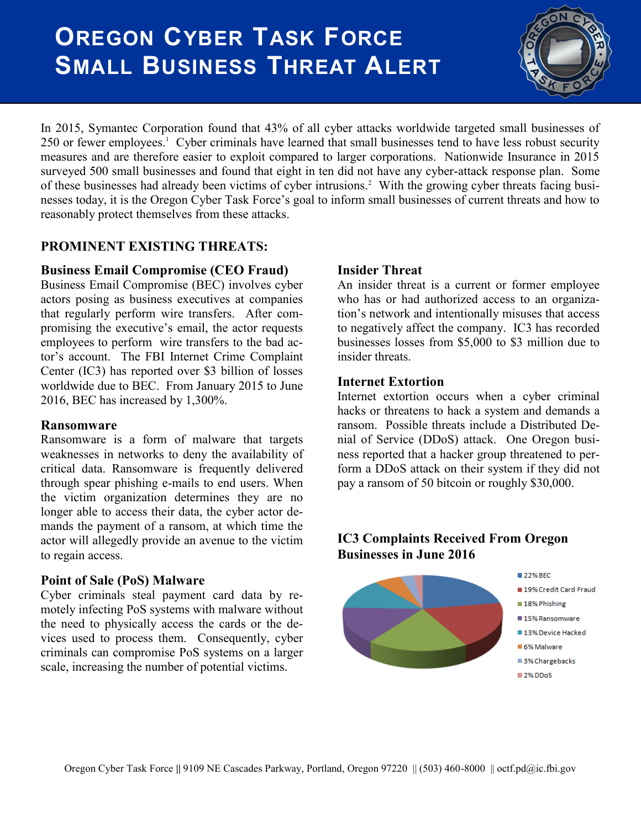# **OREGON CYBER TASK FORCE SMALL BUSINESS THREAT ALERT**



In 2015, Symantec Corporation found that 43% of all cyber attacks worldwide targeted small businesses of 250 or fewer employees.<sup>1</sup> Cyber criminals have learned that small businesses tend to have less robust security measures and are therefore easier to exploit compared to larger corporations. Nationwide Insurance in 2015 surveyed 500 small businesses and found that eight in ten did not have any cyber-attack response plan. Some of these businesses had already been victims of cyber intrusions.<sup>2</sup> With the growing cyber threats facing businesses today, it is the Oregon Cyber Task Force's goal to inform small businesses of current threats and how to reasonably protect themselves from these attacks.

# **PROMINENT EXISTING THREATS:**

## **Business Email Compromise (CEO Fraud)**

Business Email Compromise (BEC) involves cyber actors posing as business executives at companies that regularly perform wire transfers. After compromising the executive's email, the actor requests employees to perform wire transfers to the bad actor's account. The FBI Internet Crime Complaint Center (IC3) has reported over \$3 billion of losses worldwide due to BEC. From January 2015 to June 2016, BEC has increased by 1,300%.

## **Ransomware**

Ransomware is a form of malware that targets weaknesses in networks to deny the availability of critical data. Ransomware is frequently delivered through spear phishing e-mails to end users. When the victim organization determines they are no longer able to access their data, the cyber actor demands the payment of a ransom, at which time the actor will allegedly provide an avenue to the victim to regain access.

## **Point of Sale (PoS) Malware**

Cyber criminals steal payment card data by remotely infecting PoS systems with malware without the need to physically access the cards or the devices used to process them. Consequently, cyber criminals can compromise PoS systems on a larger scale, increasing the number of potential victims.

## **Insider Threat**

An insider threat is a current or former employee who has or had authorized access to an organization's network and intentionally misuses that access to negatively affect the company. IC3 has recorded businesses losses from \$5,000 to \$3 million due to insider threats.

#### **Internet Extortion**

Internet extortion occurs when a cyber criminal hacks or threatens to hack a system and demands a ransom. Possible threats include a Distributed Denial of Service (DDoS) attack. One Oregon business reported that a hacker group threatened to perform a DDoS attack on their system if they did not pay a ransom of 50 bitcoin or roughly \$30,000.

## **IC3 Complaints Received From Oregon Businesses in June 2016**